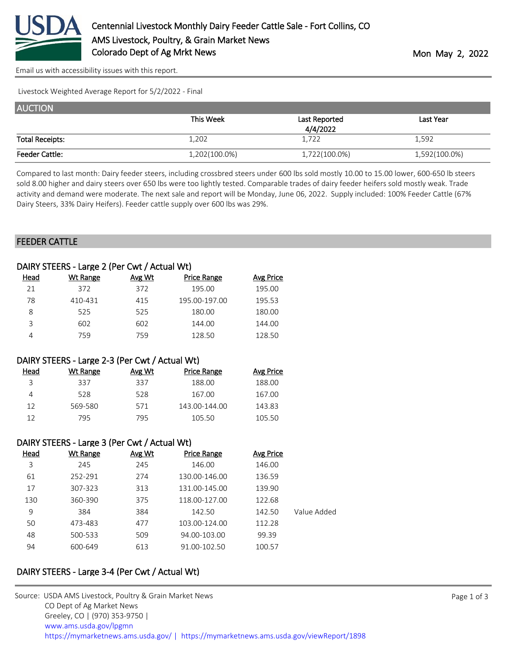

[Email us with accessibility issues with this report.](mailto:mars@ams.usda.gov?subject=508%20issue)

Livestock Weighted Average Report for 5/2/2022 - Final

| <b>AUCTION</b>         |               |               |               |
|------------------------|---------------|---------------|---------------|
|                        | This Week     | Last Reported | Last Year     |
|                        |               | 4/4/2022      |               |
| <b>Total Receipts:</b> | 1,202         | 1,722         | 1,592         |
| <b>Feeder Cattle:</b>  | 1,202(100.0%) | 1,722(100.0%) | 1,592(100.0%) |

Compared to last month: Dairy feeder steers, including crossbred steers under 600 lbs sold mostly 10.00 to 15.00 lower, 600-650 lb steers sold 8.00 higher and dairy steers over 650 lbs were too lightly tested. Comparable trades of dairy feeder heifers sold mostly weak. Trade activity and demand were moderate. The next sale and report will be Monday, June 06, 2022. Supply included: 100% Feeder Cattle (67% Dairy Steers, 33% Dairy Heifers). Feeder cattle supply over 600 lbs was 29%.

#### FEEDER CATTLE

| DAIRY STEERS - Large 2 (Per Cwt / Actual Wt) |          |        |                    |           |
|----------------------------------------------|----------|--------|--------------------|-----------|
| Head                                         | Wt Range | Avg Wt | <b>Price Range</b> | Avg Price |
| 21                                           | 372      | 372    | 195.00             | 195.00    |
| 78                                           | 410-431  | 415    | 195.00-197.00      | 195.53    |
| 8                                            | 525      | 525    | 180.00             | 180.00    |
| 3                                            | 602      | 602    | 144.00             | 144.00    |
|                                              | 759      | 759    | 128.50             | 128.50    |

### DAIRY STEERS - Large 2-3 (Per Cwt / Actual Wt)

| Head | Wt Range | Avg Wt | <b>Price Range</b> | <b>Avg Price</b> |
|------|----------|--------|--------------------|------------------|
| ₹    | 337      | 337    | 188.00             | 188.00           |
|      | 528      | 528    | 167.00             | 167.00           |
| 12   | 569-580  | 571    | 143.00-144.00      | 143.83           |
| 17   | 795      | 795    | 105.50             | 105.50           |

## DAIRY STEERS - Large 3 (Per Cwt / Actual Wt)

| Head | Wt Range | Avg Wt | <b>Price Range</b> | Avg Price |             |
|------|----------|--------|--------------------|-----------|-------------|
| 3    | 245      | 245    | 146.00             | 146.00    |             |
| 61   | 252-291  | 274    | 130.00-146.00      | 136.59    |             |
| 17   | 307-323  | 313    | 131.00-145.00      | 139.90    |             |
| 130  | 360-390  | 375    | 118.00-127.00      | 122.68    |             |
| 9    | 384      | 384    | 142.50             | 142.50    | Value Added |
| 50   | 473-483  | 477    | 103.00-124.00      | 112.28    |             |
| 48   | 500-533  | 509    | 94.00-103.00       | 99.39     |             |
| 94   | 600-649  | 613    | 91.00-102.50       | 100.57    |             |
|      |          |        |                    |           |             |

# DAIRY STEERS - Large 3-4 (Per Cwt / Actual Wt)

| Source: USDA AMS Livestock, Poultry & Grain Market News                                |
|----------------------------------------------------------------------------------------|
| CO Dept of Ag Market News                                                              |
| Greeley, CO   (970) 353-9750                                                           |
| www.ams.usda.gov/lpgmn                                                                 |
| https://mymarketnews.ams.usda.gov/   https://mymarketnews.ams.usda.gov/viewReport/1898 |
|                                                                                        |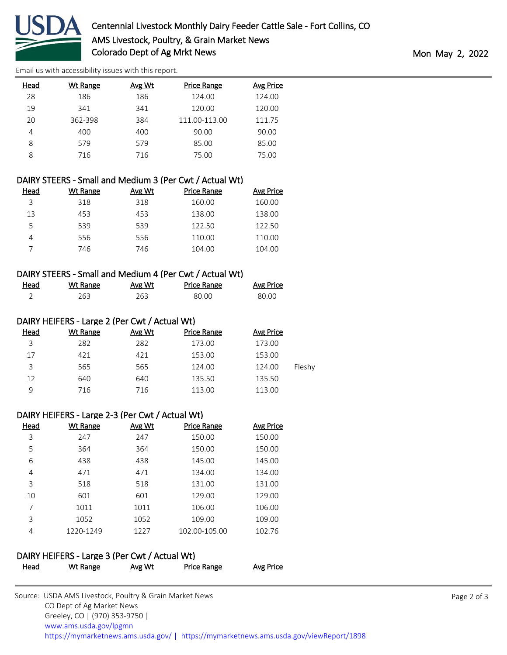

[Email us with accessibility issues with this report.](mailto:mars@ams.usda.gov?subject=508%20issue)

| Head | Wt Range | Avg Wt | <b>Price Range</b> | <b>Avg Price</b> |
|------|----------|--------|--------------------|------------------|
| 28   | 186      | 186    | 124.00             | 124.00           |
| 19   | 341      | 341    | 120.00             | 120.00           |
| 20   | 362-398  | 384    | 111.00-113.00      | 111.75           |
| 4    | 400      | 400    | 90.00              | 90.00            |
| 8    | 579      | 579    | 85.00              | 85.00            |
| 8    | 716      | 716    | 75.00              | 75.00            |
|      |          |        |                    |                  |

#### DAIRY STEERS - Small and Medium 3 (Per Cwt / Actual Wt)

| Head | Wt Range | Avg Wt | Price Range | Avg Price |
|------|----------|--------|-------------|-----------|
| 3    | 318      | 318    | 160.00      | 160.00    |
| 13   | 453      | 453    | 138.00      | 138.00    |
| 5    | 539      | 539    | 122.50      | 122.50    |
| 4    | 556      | 556    | 110.00      | 110.00    |
|      | 746      | 746    | 104.00      | 104.00    |

## DAIRY STEERS - Small and Medium 4 (Per Cwt / Actual Wt)

| Head | Wt Range | <u>Avg Wt</u> | Price Range | <b>Avg Price</b> |
|------|----------|---------------|-------------|------------------|
|      | 263      | 263           | 80.00       | 80.00            |

## DAIRY HEIFERS - Large 2 (Per Cwt / Actual Wt)

| Head | Wt Range | Avg Wt | <b>Price Range</b> | Avg Price |        |
|------|----------|--------|--------------------|-----------|--------|
| 3    | 282      | 282    | 173.00             | 173.00    |        |
| 17   | 421      | 421    | 153.00             | 153.00    |        |
| 3    | 565      | 565    | 124.00             | 124.00    | Fleshy |
| 12   | 640      | 640    | 135.50             | 135.50    |        |
| 9    | 716      | 716    | 113.00             | 113.00    |        |

### DAIRY HEIFERS - Large 2-3 (Per Cwt / Actual Wt)

| Head | Wt Range  | Avg Wt | Price Range   | Avg Price |
|------|-----------|--------|---------------|-----------|
| 3    | 247       | 247    | 150.00        | 150.00    |
| 5    | 364       | 364    | 150.00        | 150.00    |
| 6    | 438       | 438    | 145.00        | 145.00    |
| 4    | 471       | 471    | 134.00        | 134.00    |
| 3    | 518       | 518    | 131.00        | 131.00    |
| 10   | 601       | 601    | 129.00        | 129.00    |
| 7    | 1011      | 1011   | 106.00        | 106.00    |
| 3    | 1052      | 1052   | 109.00        | 109.00    |
| 4    | 1220-1249 | 1227   | 102.00-105.00 | 102.76    |

### DAIRY HEIFERS - Large 3 (Per Cwt / Actual Wt)

| Head | Wt Range | Avg Wt | <b>Price Range</b> | <b>Avg Price</b> |
|------|----------|--------|--------------------|------------------|
|      |          |        |                    |                  |